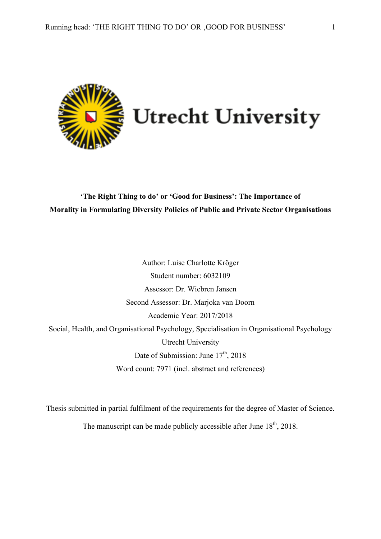

## **'The Right Thing to do' or 'Good for Business': The Importance of Morality in Formulating Diversity Policies of Public and Private Sector Organisations**

Author: Luise Charlotte Kröger Student number: 6032109 Assessor: Dr. Wiebren Jansen Second Assessor: Dr. Marjoka van Doorn Academic Year: 2017/2018 Social, Health, and Organisational Psychology, Specialisation in Organisational Psychology Utrecht University Date of Submission: June  $17<sup>th</sup>$ , 2018 Word count: 7971 (incl. abstract and references)

Thesis submitted in partial fulfilment of the requirements for the degree of Master of Science. The manuscript can be made publicly accessible after June  $18<sup>th</sup>$ , 2018.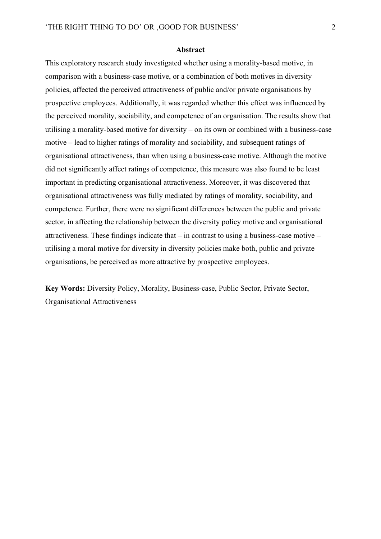#### **Abstract**

This exploratory research study investigated whether using a morality-based motive, in comparison with a business-case motive, or a combination of both motives in diversity policies, affected the perceived attractiveness of public and/or private organisations by prospective employees. Additionally, it was regarded whether this effect was influenced by the perceived morality, sociability, and competence of an organisation. The results show that utilising a morality-based motive for diversity – on its own or combined with a business-case motive – lead to higher ratings of morality and sociability, and subsequent ratings of organisational attractiveness, than when using a business-case motive. Although the motive did not significantly affect ratings of competence, this measure was also found to be least important in predicting organisational attractiveness. Moreover, it was discovered that organisational attractiveness was fully mediated by ratings of morality, sociability, and competence. Further, there were no significant differences between the public and private sector, in affecting the relationship between the diversity policy motive and organisational attractiveness. These findings indicate that  $-$  in contrast to using a business-case motive  $$ utilising a moral motive for diversity in diversity policies make both, public and private organisations, be perceived as more attractive by prospective employees.

**Key Words:** Diversity Policy, Morality, Business-case, Public Sector, Private Sector, Organisational Attractiveness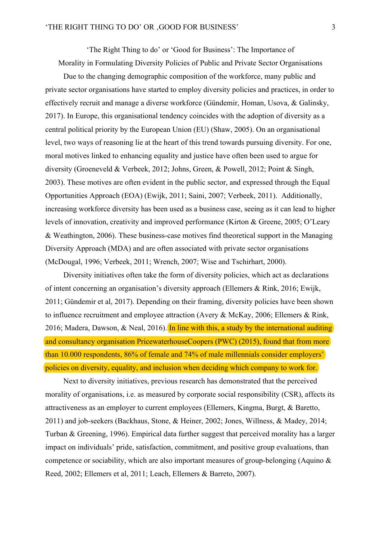'The Right Thing to do' or 'Good for Business': The Importance of Morality in Formulating Diversity Policies of Public and Private Sector Organisations

Due to the changing demographic composition of the workforce, many public and private sector organisations have started to employ diversity policies and practices, in order to effectively recruit and manage a diverse workforce (Gündemir, Homan, Usova, & Galinsky, 2017). In Europe, this organisational tendency coincides with the adoption of diversity as a central political priority by the European Union (EU) (Shaw, 2005). On an organisational level, two ways of reasoning lie at the heart of this trend towards pursuing diversity. For one, moral motives linked to enhancing equality and justice have often been used to argue for diversity (Groeneveld & Verbeek, 2012; Johns, Green, & Powell, 2012; Point & Singh, 2003). These motives are often evident in the public sector, and expressed through the Equal Opportunities Approach (EOA) (Ewijk, 2011; Saini, 2007; Verbeek, 2011). Additionally, increasing workforce diversity has been used as a business case, seeing as it can lead to higher levels of innovation, creativity and improved performance (Kirton & Greene, 2005; O'Leary & Weathington, 2006). These business-case motives find theoretical support in the Managing Diversity Approach (MDA) and are often associated with private sector organisations (McDougal, 1996; Verbeek, 2011; Wrench, 2007; Wise and Tschirhart, 2000).

Diversity initiatives often take the form of diversity policies, which act as declarations of intent concerning an organisation's diversity approach (Ellemers & Rink, 2016; Ewijk, 2011; Gündemir et al, 2017). Depending on their framing, diversity policies have been shown to influence recruitment and employee attraction (Avery & McKay, 2006; Ellemers & Rink, 2016; Madera, Dawson,  $\&$  Neal, 2016). In line with this, a study by the international auditing and consultancy organisation PricewaterhouseCoopers (PWC) (2015), found that from more than 10.000 respondents, 86% of female and 74% of male millennials consider employers' policies on diversity, equality, and inclusion when deciding which company to work for.

Next to diversity initiatives, previous research has demonstrated that the perceived morality of organisations, i.e. as measured by corporate social responsibility (CSR), affects its attractiveness as an employer to current employees (Ellemers, Kingma, Burgt, & Baretto, 2011) and job-seekers (Backhaus, Stone, & Heiner, 2002; Jones, Willness, & Madey, 2014; Turban & Greening, 1996). Empirical data further suggest that perceived morality has a larger impact on individuals' pride, satisfaction, commitment, and positive group evaluations, than competence or sociability, which are also important measures of group-belonging (Aquino & Reed, 2002; Ellemers et al, 2011; Leach, Ellemers & Barreto, 2007).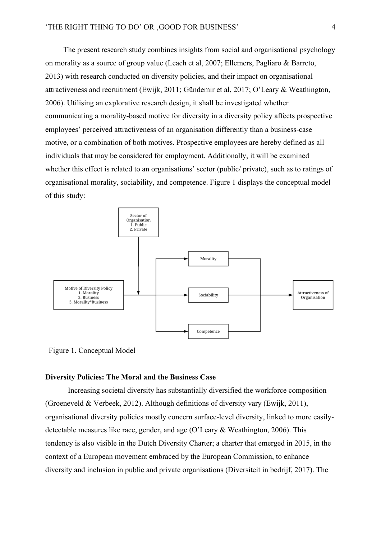The present research study combines insights from social and organisational psychology on morality as a source of group value (Leach et al, 2007; Ellemers, Pagliaro & Barreto, 2013) with research conducted on diversity policies, and their impact on organisational attractiveness and recruitment (Ewijk, 2011; Gündemir et al, 2017; O'Leary & Weathington, 2006). Utilising an explorative research design, it shall be investigated whether communicating a morality-based motive for diversity in a diversity policy affects prospective employees' perceived attractiveness of an organisation differently than a business-case motive, or a combination of both motives. Prospective employees are hereby defined as all individuals that may be considered for employment. Additionally, it will be examined whether this effect is related to an organisations' sector (public/ private), such as to ratings of organisational morality, sociability, and competence. Figure 1 displays the conceptual model of this study:



Figure 1. Conceptual Model

## **Diversity Policies: The Moral and the Business Case**

Increasing societal diversity has substantially diversified the workforce composition (Groeneveld & Verbeek, 2012). Although definitions of diversity vary (Ewijk, 2011), organisational diversity policies mostly concern surface-level diversity, linked to more easilydetectable measures like race, gender, and age (O'Leary & Weathington, 2006). This tendency is also visible in the Dutch Diversity Charter; a charter that emerged in 2015, in the context of a European movement embraced by the European Commission, to enhance diversity and inclusion in public and private organisations (Diversiteit in bedrijf, 2017). The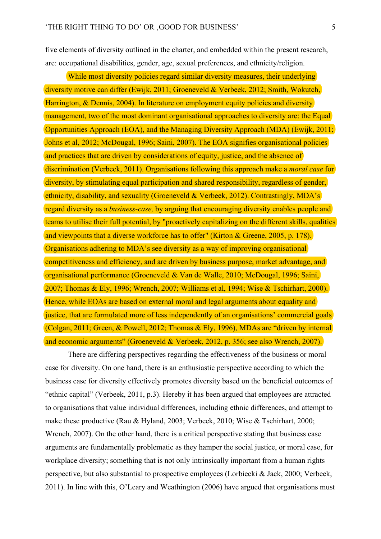five elements of diversity outlined in the charter, and embedded within the present research, are: occupational disabilities, gender, age, sexual preferences, and ethnicity/religion.

While most diversity policies regard similar diversity measures, their underlying diversity motive can differ (Ewijk, 2011; Groeneveld & Verbeek, 2012; Smith, Wokutch, Harrington, & Dennis, 2004). In literature on employment equity policies and diversity management, two of the most dominant organisational approaches to diversity are: the Equal Opportunities Approach (EOA), and the Managing Diversity Approach (MDA) (Ewijk, 2011; Johns et al, 2012; McDougal, 1996; Saini, 2007). The EOA signifies organisational policies and practices that are driven by considerations of equity, justice, and the absence of discrimination (Verbeek, 2011). Organisations following this approach make a *moral case* for diversity, by stimulating equal participation and shared responsibility, regardless of gender, ethnicity, disability, and sexuality (Groeneveld & Verbeek, 2012). Contrastingly, MDA's regard diversity as a *business-case,* by arguing that encouraging diversity enables people and teams to utilise their full potential, by "proactively capitalizing on the different skills, qualities and viewpoints that a diverse workforce has to offer" (Kirton & Greene, 2005, p. 178). Organisations adhering to MDA's see diversity as a way of improving organisational competitiveness and efficiency, and are driven by business purpose, market advantage, and organisational performance (Groeneveld & Van de Walle, 2010; McDougal, 1996; Saini, 2007; Thomas & Ely, 1996; Wrench, 2007; Williams et al, 1994; Wise & Tschirhart, 2000). Hence, while EOAs are based on external moral and legal arguments about equality and justice, that are formulated more of less independently of an organisations' commercial goals (Colgan, 2011; Green, & Powell, 2012; Thomas & Ely, 1996), MDAs are "driven by internal and economic arguments" (Groeneveld & Verbeek, 2012, p. 356; see also Wrench, 2007).

There are differing perspectives regarding the effectiveness of the business or moral case for diversity. On one hand, there is an enthusiastic perspective according to which the business case for diversity effectively promotes diversity based on the beneficial outcomes of "ethnic capital" (Verbeek, 2011, p.3). Hereby it has been argued that employees are attracted to organisations that value individual differences, including ethnic differences, and attempt to make these productive (Rau & Hyland, 2003; Verbeek, 2010; Wise & Tschirhart, 2000; Wrench, 2007). On the other hand, there is a critical perspective stating that business case arguments are fundamentally problematic as they hamper the social justice, or moral case, for workplace diversity; something that is not only intrinsically important from a human rights perspective, but also substantial to prospective employees (Lorbiecki & Jack, 2000; Verbeek, 2011). In line with this, O'Leary and Weathington (2006) have argued that organisations must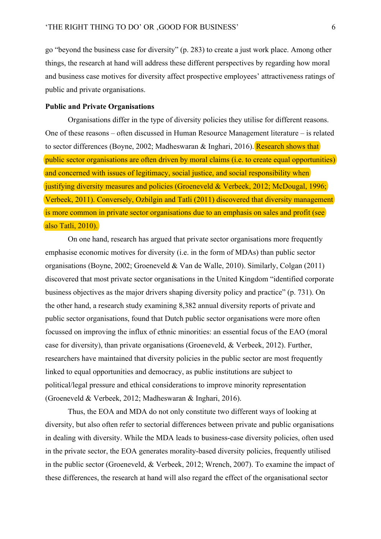go "beyond the business case for diversity" (p. 283) to create a just work place. Among other things, the research at hand will address these different perspectives by regarding how moral and business case motives for diversity affect prospective employees' attractiveness ratings of public and private organisations.

#### **Public and Private Organisations**

Organisations differ in the type of diversity policies they utilise for different reasons. One of these reasons – often discussed in Human Resource Management literature – is related to sector differences (Boyne, 2002; Madheswaran & Inghari, 2016). Research shows that public sector organisations are often driven by moral claims (i.e. to create equal opportunities) and concerned with issues of legitimacy, social justice, and social responsibility when justifying diversity measures and policies (Groeneveld & Verbeek, 2012; McDougal, 1996; Verbeek, 2011). Conversely, Ozbilgin and Tatli (2011) discovered that diversity management is more common in private sector organisations due to an emphasis on sales and profit (see also Tatli, 2010).

On one hand, research has argued that private sector organisations more frequently emphasise economic motives for diversity (i.e. in the form of MDAs) than public sector organisations (Boyne, 2002; Groeneveld & Van de Walle, 2010). Similarly, Colgan (2011) discovered that most private sector organisations in the United Kingdom "identified corporate business objectives as the major drivers shaping diversity policy and practice" (p. 731). On the other hand, a research study examining 8,382 annual diversity reports of private and public sector organisations, found that Dutch public sector organisations were more often focussed on improving the influx of ethnic minorities: an essential focus of the EAO (moral case for diversity), than private organisations (Groeneveld, & Verbeek, 2012). Further, researchers have maintained that diversity policies in the public sector are most frequently linked to equal opportunities and democracy, as public institutions are subject to political/legal pressure and ethical considerations to improve minority representation (Groeneveld & Verbeek, 2012; Madheswaran & Inghari, 2016).

Thus, the EOA and MDA do not only constitute two different ways of looking at diversity, but also often refer to sectorial differences between private and public organisations in dealing with diversity. While the MDA leads to business-case diversity policies, often used in the private sector, the EOA generates morality-based diversity policies, frequently utilised in the public sector (Groeneveld, & Verbeek, 2012; Wrench, 2007). To examine the impact of these differences, the research at hand will also regard the effect of the organisational sector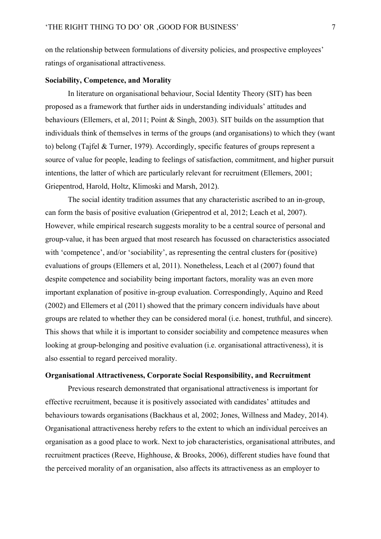on the relationship between formulations of diversity policies, and prospective employees' ratings of organisational attractiveness.

#### **Sociability, Competence, and Morality**

In literature on organisational behaviour, Social Identity Theory (SIT) has been proposed as a framework that further aids in understanding individuals' attitudes and behaviours (Ellemers, et al, 2011; Point & Singh, 2003). SIT builds on the assumption that individuals think of themselves in terms of the groups (and organisations) to which they (want to) belong (Tajfel & Turner, 1979). Accordingly, specific features of groups represent a source of value for people, leading to feelings of satisfaction, commitment, and higher pursuit intentions, the latter of which are particularly relevant for recruitment (Ellemers, 2001; Griepentrod, Harold, Holtz, Klimoski and Marsh, 2012).

The social identity tradition assumes that any characteristic ascribed to an in-group, can form the basis of positive evaluation (Griepentrod et al, 2012; Leach et al, 2007). However, while empirical research suggests morality to be a central source of personal and group-value, it has been argued that most research has focussed on characteristics associated with 'competence', and/or 'sociability', as representing the central clusters for (positive) evaluations of groups (Ellemers et al, 2011). Nonetheless, Leach et al (2007) found that despite competence and sociability being important factors, morality was an even more important explanation of positive in-group evaluation. Correspondingly, Aquino and Reed (2002) and Ellemers et al (2011) showed that the primary concern individuals have about groups are related to whether they can be considered moral (i.e. honest, truthful, and sincere). This shows that while it is important to consider sociability and competence measures when looking at group-belonging and positive evaluation (i.e. organisational attractiveness), it is also essential to regard perceived morality.

## **Organisational Attractiveness, Corporate Social Responsibility, and Recruitment**

Previous research demonstrated that organisational attractiveness is important for effective recruitment, because it is positively associated with candidates' attitudes and behaviours towards organisations (Backhaus et al, 2002; Jones, Willness and Madey, 2014). Organisational attractiveness hereby refers to the extent to which an individual perceives an organisation as a good place to work. Next to job characteristics, organisational attributes, and recruitment practices (Reeve, Highhouse, & Brooks, 2006), different studies have found that the perceived morality of an organisation, also affects its attractiveness as an employer to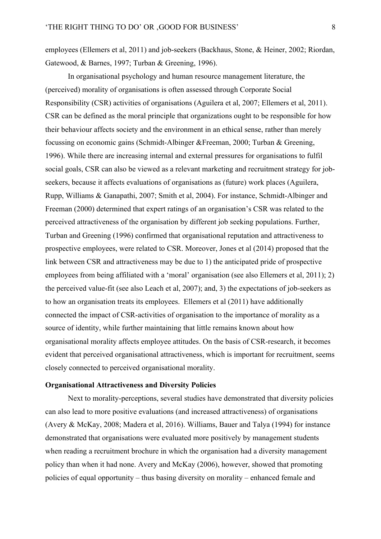employees (Ellemers et al, 2011) and job-seekers (Backhaus, Stone, & Heiner, 2002; Riordan, Gatewood, & Barnes, 1997; Turban & Greening, 1996).

In organisational psychology and human resource management literature, the (perceived) morality of organisations is often assessed through Corporate Social Responsibility (CSR) activities of organisations (Aguilera et al, 2007; Ellemers et al, 2011). CSR can be defined as the moral principle that organizations ought to be responsible for how their behaviour affects society and the environment in an ethical sense, rather than merely focussing on economic gains (Schmidt-Albinger &Freeman, 2000; Turban & Greening, 1996). While there are increasing internal and external pressures for organisations to fulfil social goals, CSR can also be viewed as a relevant marketing and recruitment strategy for jobseekers, because it affects evaluations of organisations as (future) work places (Aguilera, Rupp, Williams & Ganapathi, 2007; Smith et al, 2004). For instance, Schmidt-Albinger and Freeman (2000) determined that expert ratings of an organisation's CSR was related to the perceived attractiveness of the organisation by different job seeking populations. Further, Turban and Greening (1996) confirmed that organisational reputation and attractiveness to prospective employees, were related to CSR. Moreover, Jones et al (2014) proposed that the link between CSR and attractiveness may be due to 1) the anticipated pride of prospective employees from being affiliated with a 'moral' organisation (see also Ellemers et al, 2011); 2) the perceived value-fit (see also Leach et al, 2007); and, 3) the expectations of job-seekers as to how an organisation treats its employees. Ellemers et al (2011) have additionally connected the impact of CSR-activities of organisation to the importance of morality as a source of identity, while further maintaining that little remains known about how organisational morality affects employee attitudes. On the basis of CSR-research, it becomes evident that perceived organisational attractiveness, which is important for recruitment, seems closely connected to perceived organisational morality.

## **Organisational Attractiveness and Diversity Policies**

Next to morality-perceptions, several studies have demonstrated that diversity policies can also lead to more positive evaluations (and increased attractiveness) of organisations (Avery & McKay, 2008; Madera et al, 2016). Williams, Bauer and Talya (1994) for instance demonstrated that organisations were evaluated more positively by management students when reading a recruitment brochure in which the organisation had a diversity management policy than when it had none. Avery and McKay (2006), however, showed that promoting policies of equal opportunity – thus basing diversity on morality – enhanced female and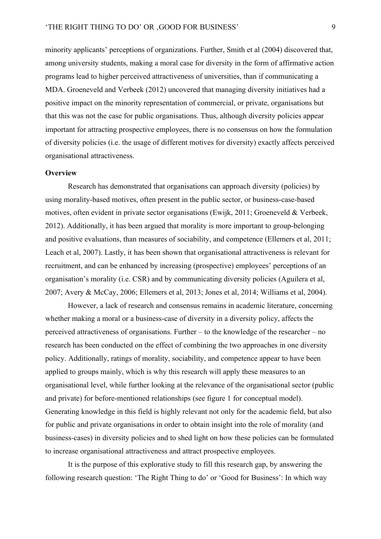minority applicants' perceptions of organizations. Further, Smith et al (2004) discovered that, among university students, making a moral case for diversity in the form of affirmative action programs lead to higher perceived attractiveness of universities, than if communicating a MDA. Groeneveld and Verbeek (2012) uncovered that managing diversity initiatives had a positive impact on the minority representation of commercial, or private, organisations but that this was not the case for public organisations. Thus, although diversity policies appear important for attracting prospective employees, there is no consensus on how the formulation of diversity policies (i.e. the usage of different motives for diversity) exactly affects perceived organisational attractiveness.

#### **Overview**

Research has demonstrated that organisations can approach diversity (policies) by using morality-based motives, often present in the public sector, or business-case-based motives, often evident in private sector organisations (Ewijk, 2011; Groeneveld & Verbeek, 2012). Additionally, it has been argued that morality is more important to group-belonging and positive evaluations, than measures of sociability, and competence (Ellemers et al, 2011; Leach et al, 2007). Lastly, it has been shown that organisational attractiveness is relevant for recruitment, and can be enhanced by increasing (prospective) employees' perceptions of an organisation's morality (i.e. CSR) and by communicating diversity policies (Aguilera et al, 2007; Avery & McCay, 2006; Ellemers et al, 2013; Jones et al, 2014; Williams et al, 2004).

However, a lack of research and consensus remains in academic literature, concerning whether making a moral or a business-case of diversity in a diversity policy, affects the perceived attractiveness of organisations. Further – to the knowledge of the researcher – no research has been conducted on the effect of combining the two approaches in one diversity policy. Additionally, ratings of morality, sociability, and competence appear to have been applied to groups mainly, which is why this research will apply these measures to an organisational level, while further looking at the relevance of the organisational sector (public and private) for before-mentioned relationships (see figure 1 for conceptual model). Generating knowledge in this field is highly relevant not only for the academic field, but also for public and private organisations in order to obtain insight into the role of morality (and business-cases) in diversity policies and to shed light on how these policies can be formulated to increase organisational attractiveness and attract prospective employees.

It is the purpose of this explorative study to fill this research gap, by answering the following research question: 'The Right Thing to do' or 'Good for Business': In which way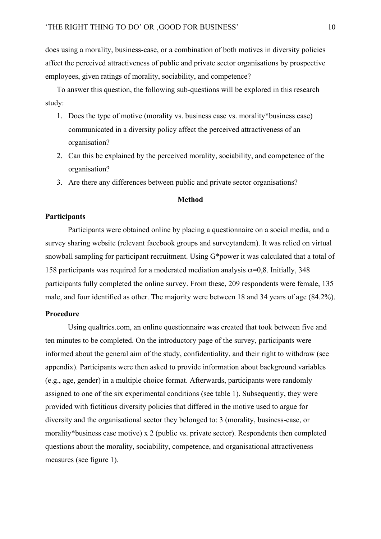does using a morality, business-case, or a combination of both motives in diversity policies affect the perceived attractiveness of public and private sector organisations by prospective employees, given ratings of morality, sociability, and competence?

To answer this question, the following sub-questions will be explored in this research study:

- 1. Does the type of motive (morality vs. business case vs. morality\*business case) communicated in a diversity policy affect the perceived attractiveness of an organisation?
- 2. Can this be explained by the perceived morality, sociability, and competence of the organisation?
- 3. Are there any differences between public and private sector organisations?

## **Method**

## **Participants**

Participants were obtained online by placing a questionnaire on a social media, and a survey sharing website (relevant facebook groups and surveytandem). It was relied on virtual snowball sampling for participant recruitment. Using G\*power it was calculated that a total of 158 participants was required for a moderated mediation analysis  $\alpha$ =0,8. Initially, 348 participants fully completed the online survey. From these, 209 respondents were female, 135 male, and four identified as other. The majority were between 18 and 34 years of age (84.2%).

## **Procedure**

Using qualtrics.com, an online questionnaire was created that took between five and ten minutes to be completed. On the introductory page of the survey, participants were informed about the general aim of the study, confidentiality, and their right to withdraw (see appendix). Participants were then asked to provide information about background variables (e.g., age, gender) in a multiple choice format. Afterwards, participants were randomly assigned to one of the six experimental conditions (see table 1). Subsequently, they were provided with fictitious diversity policies that differed in the motive used to argue for diversity and the organisational sector they belonged to: 3 (morality, business-case, or morality\*business case motive) x 2 (public vs. private sector). Respondents then completed questions about the morality, sociability, competence, and organisational attractiveness measures (see figure 1).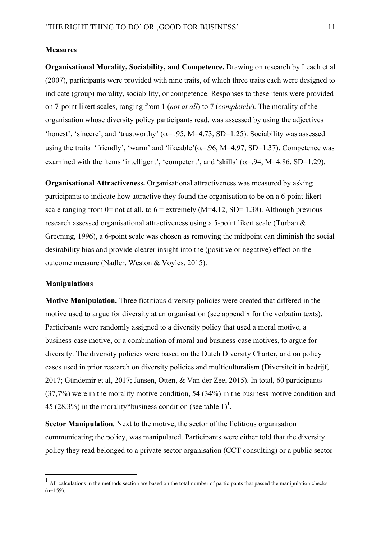#### **Measures**

**Organisational Morality, Sociability, and Competence.** Drawing on research by Leach et al (2007), participants were provided with nine traits, of which three traits each were designed to indicate (group) morality, sociability, or competence. Responses to these items were provided on 7-point likert scales, ranging from 1 (*not at all*) to 7 (*completely*). The morality of the organisation whose diversity policy participants read, was assessed by using the adjectives 'honest', 'sincere', and 'trustworthy' ( $\alpha$ = .95, M=4.73, SD=1.25). Sociability was assessed using the traits 'friendly', 'warm' and 'likeable'( $\alpha$ =.96, M=4.97, SD=1.37). Competence was examined with the items 'intelligent', 'competent', and 'skills'  $(\alpha = .94, M=4.86, SD=1.29)$ .

**Organisational Attractiveness.** Organisational attractiveness was measured by asking participants to indicate how attractive they found the organisation to be on a 6-point likert scale ranging from 0= not at all, to  $6 =$  extremely (M=4.12, SD= 1.38). Although previous research assessed organisational attractiveness using a 5-point likert scale (Turban & Greening, 1996), a 6-point scale was chosen as removing the midpoint can diminish the social desirability bias and provide clearer insight into the (positive or negative) effect on the outcome measure (Nadler, Weston & Voyles, 2015).

## **Manipulations**

**Motive Manipulation.** Three fictitious diversity policies were created that differed in the motive used to argue for diversity at an organisation (see appendix for the verbatim texts). Participants were randomly assigned to a diversity policy that used a moral motive, a business-case motive, or a combination of moral and business-case motives, to argue for diversity. The diversity policies were based on the Dutch Diversity Charter, and on policy cases used in prior research on diversity policies and multiculturalism (Diversiteit in bedrijf, 2017; Gündemir et al, 2017; Jansen, Otten, & Van der Zee, 2015). In total, 60 participants (37,7%) were in the morality motive condition, 54 (34%) in the business motive condition and 45 (28,3%) in the morality\*business condition (see table  $1$ )<sup>1</sup>.

**Sector Manipulation***.* Next to the motive, the sector of the fictitious organisation communicating the policy, was manipulated. Participants were either told that the diversity policy they read belonged to a private sector organisation (CCT consulting) or a public sector

 <sup>1</sup> All calculations in the methods section are based on the total number of participants that passed the manipulation checks  $(n=159)$ .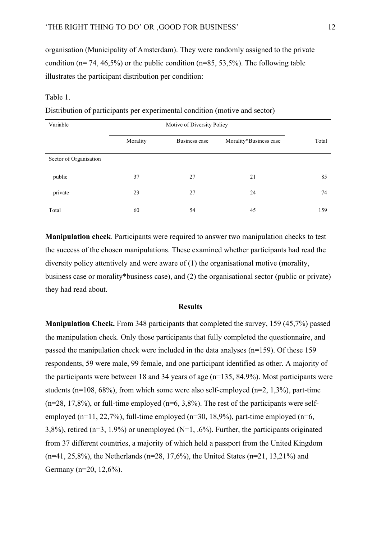organisation (Municipality of Amsterdam). They were randomly assigned to the private condition ( $n= 74, 46,5\%$ ) or the public condition ( $n=85, 53,5\%$ ). The following table illustrates the participant distribution per condition:

## Table 1.

Distribution of participants per experimental condition (motive and sector)

| Variable               |          |               |                        |       |
|------------------------|----------|---------------|------------------------|-------|
|                        | Morality | Business case | Morality*Business case | Total |
| Sector of Organisation |          |               |                        |       |
| public                 | 37       | 27            | 21                     | 85    |
| private                | 23       | 27            | 24                     | 74    |
| Total                  | 60       | 54            | 45                     | 159   |

**Manipulation check***.* Participants were required to answer two manipulation checks to test the success of the chosen manipulations. These examined whether participants had read the diversity policy attentively and were aware of (1) the organisational motive (morality, business case or morality\*business case), and (2) the organisational sector (public or private) they had read about.

#### **Results**

**Manipulation Check.** From 348 participants that completed the survey, 159 (45,7%) passed the manipulation check. Only those participants that fully completed the questionnaire, and passed the manipulation check were included in the data analyses (n=159). Of these 159 respondents, 59 were male, 99 female, and one participant identified as other. A majority of the participants were between 18 and 34 years of age (n=135, 84.9%). Most participants were students (n=108,  $68\%$ ), from which some were also self-employed (n=2, 1,3%), part-time  $(n=28, 17,8\%)$ , or full-time employed  $(n=6, 3,8\%)$ . The rest of the participants were selfemployed (n=11, 22,7%), full-time employed (n=30, 18,9%), part-time employed (n=6, 3,8%), retired ( $n=3$ , 1.9%) or unemployed ( $N=1$ , .6%). Further, the participants originated from 37 different countries, a majority of which held a passport from the United Kingdom  $(n=41, 25,8\%)$ , the Netherlands  $(n=28, 17,6\%)$ , the United States  $(n=21, 13,21\%)$  and Germany (n=20, 12,6%).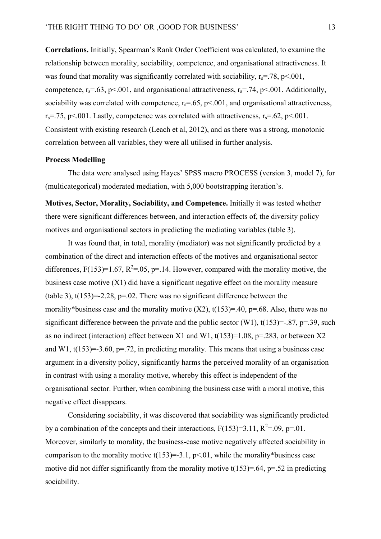**Correlations.** Initially, Spearman's Rank Order Coefficient was calculated, to examine the relationship between morality, sociability, competence, and organisational attractiveness. It was found that morality was significantly correlated with sociability,  $r_s = .78$ ,  $p < .001$ , competence,  $r_s = .63$ ,  $p \le 0.001$ , and organisational attractiveness,  $r_s = .74$ ,  $p \le 0.01$ . Additionally, sociability was correlated with competence,  $r_s = .65$ ,  $p \le 0.01$ , and organisational attractiveness,  $r_s = 75$ , p<.001. Lastly, competence was correlated with attractiveness,  $r_s = 62$ , p<.001. Consistent with existing research (Leach et al, 2012), and as there was a strong, monotonic correlation between all variables, they were all utilised in further analysis.

#### **Process Modelling**

The data were analysed using Hayes' SPSS macro PROCESS (version 3, model 7), for (multicategorical) moderated mediation, with 5,000 bootstrapping iteration's.

**Motives, Sector, Morality, Sociability, and Competence.** Initially it was tested whether there were significant differences between, and interaction effects of, the diversity policy motives and organisational sectors in predicting the mediating variables (table 3).

It was found that, in total, morality (mediator) was not significantly predicted by a combination of the direct and interaction effects of the motives and organisational sector differences,  $F(153)=1.67$ ,  $R^2=0.05$ , p= 14. However, compared with the morality motive, the business case motive (X1) did have a significant negative effect on the morality measure (table 3),  $t(153)=2.28$ ,  $p=.02$ . There was no significant difference between the morality\*business case and the morality motive  $(X2)$ ,  $t(153)=0.40$ ,  $p=.68$ . Also, there was no significant difference between the private and the public sector (W1),  $t(153)=-0.87$ ,  $p=.39$ , such as no indirect (interaction) effect between X1 and W1,  $t(153)=1.08$ ,  $p=.283$ , or between X2 and W1,  $t(153)=3.60$ ,  $p=.72$ , in predicting morality. This means that using a business case argument in a diversity policy, significantly harms the perceived morality of an organisation in contrast with using a morality motive, whereby this effect is independent of the organisational sector. Further, when combining the business case with a moral motive, this negative effect disappears.

Considering sociability, it was discovered that sociability was significantly predicted by a combination of the concepts and their interactions,  $F(153)=3.11$ ,  $R^2=0.09$ ,  $p=.01$ . Moreover, similarly to morality, the business-case motive negatively affected sociability in comparison to the morality motive  $t(153)=3.1$ ,  $p<01$ , while the morality\*business case motive did not differ significantly from the morality motive  $t(153)=0.64$ ,  $p=.52$  in predicting sociability.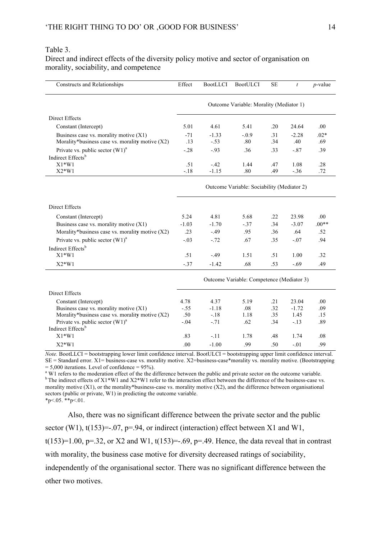## Table 3.

Direct and indirect effects of the diversity policy motive and sector of organisation on morality, sociability, and competence

| <b>Constructs and Relationships</b>                                                         | Effect                                     | <b>BootLLCI</b>                           | <b>BootULCI</b> | <b>SE</b>  | $\boldsymbol{t}$ | $p$ -value    |
|---------------------------------------------------------------------------------------------|--------------------------------------------|-------------------------------------------|-----------------|------------|------------------|---------------|
|                                                                                             | Outcome Variable: Morality (Mediator 1)    |                                           |                 |            |                  |               |
| Direct Effects                                                                              |                                            |                                           |                 |            |                  |               |
| Constant (Intercept)                                                                        | 5.01                                       | 4.61                                      | 5.41            | .20        | 24.64            | .00.          |
| Business case vs. morality motive (X1)<br>Morality*business case vs. morality motive $(X2)$ | $-71$<br>.13                               | $-1.33$<br>$-.53$                         | $-.0.9$<br>.80  | .31<br>.34 | $-2.28$<br>.40   | $.02*$<br>.69 |
| Private vs. public sector $(W1)^a$                                                          | $-.28$                                     | $-93$                                     | .36             | .33        | $-.87$           | .39           |
| Indirect Effects <sup>b</sup>                                                               |                                            |                                           |                 |            |                  |               |
| $X1*W1$                                                                                     | .51                                        | $-.42$                                    | 1.44            | .47        | 1.08             | .28           |
| $X2*W1$                                                                                     | $-.18$                                     | $-1.15$                                   | .80             | .49        | $-.36$           | .72           |
|                                                                                             | Outcome Variable: Sociability (Mediator 2) |                                           |                 |            |                  |               |
| Direct Effects                                                                              |                                            |                                           |                 |            |                  |               |
| Constant (Intercept)                                                                        | 5.24                                       | 4.81                                      | 5.68            | .22        | 23.98            | .00.          |
| Business case vs. morality motive $(X1)$                                                    | $-1.03$                                    | $-1.70$                                   | $-.37$          | .34        | $-3.07$          | $.00**$       |
| Morality*business case vs. morality motive (X2)                                             | .23                                        | $-.49$                                    | .95             | .36        | .64              | .52           |
| Private vs. public sector $(W1)^{a}$                                                        | $-.03$                                     | $-0.72$                                   | .67             | .35        | $-.07$           | .94           |
| Indirect Effects <sup>b</sup>                                                               |                                            |                                           |                 |            |                  |               |
| $X1*W1$                                                                                     | .51                                        | $-.49$                                    | 1.51            | .51        | 1.00             | .32           |
| $X2*W1$                                                                                     | $-37$                                      | $-1.42$                                   | .68             | .53        | $-.69$           | .49           |
|                                                                                             |                                            | Outcome Variable: Competence (Mediator 3) |                 |            |                  |               |
| Direct Effects                                                                              |                                            |                                           |                 |            |                  |               |
| Constant (Intercept)                                                                        | 4.78                                       | 4.37                                      | 5.19            | .21        | 23.04            | .00.          |
| Business case vs. morality motive $(X1)$                                                    | $-.55$                                     | $-1.18$                                   | .08             | .32        | $-1.72$          | .09           |
| Morality*business case vs. morality motive $(X2)$                                           | .50                                        | $-.18$                                    | 1.18            | .35        | 1.45             | .15           |
| Private vs. public sector $(W1)^a$                                                          | $-.04$                                     | $-.71$                                    | .62             | .34        | $-.13$           | .89           |
| Indirect Effects <sup>b</sup>                                                               |                                            |                                           |                 |            |                  |               |
| $X1*W1$                                                                                     | .83                                        | $-.11$                                    | 1.78            | .48        | 1.74             | .08           |
| $X2*W1$                                                                                     | .00                                        | $-1.00$                                   | .99             | .50        | $-.01$           | .99           |

*Note.* BootLLCI = bootstrapping lower limit confidence interval. BootULCI = bootstrapping upper limit confidence interval.  $SE = Standard error. X1 = business-case vs. mortality motive. X2 = business-case *morality vs. mortality motive. (Boostrapping = 5,000 iterations. Level of confidence = 95%).$ 

<sup>a</sup> W1 refers to the moderation effect of the the difference between the public and private sector on the outcome variable.  $b$  The indirect effects of X1\*W1 and X2\*W1 refer to the interaction effect between the difference of the business-case vs. morality motive  $(X1)$ , or the morality\*business-case vs. morality motive  $(X2)$ , and the difference between organisational sectors (public or private, W1) in predicting the outcome variable.  $*p<.05.*p<.01$ .

Also, there was no significant difference between the private sector and the public sector (W1),  $t(153) = -07$ ,  $p = 94$ , or indirect (interaction) effect between X1 and W1, t(153)=1.00, p=.32, or X2 and W1, t(153)=-.69, p=.49. Hence, the data reveal that in contrast with morality, the business case motive for diversity decreased ratings of sociability, independently of the organisational sector. There was no significant difference between the other two motives.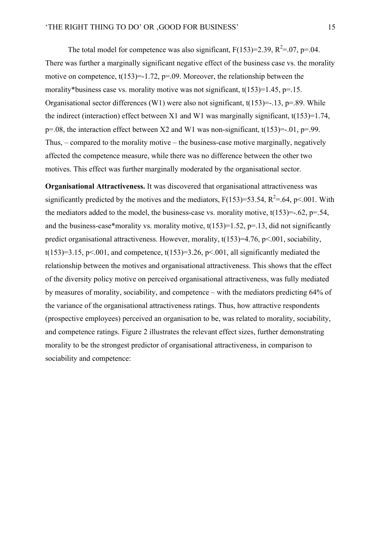The total model for competence was also significant,  $F(153)=2.39$ ,  $R^2=0.07$ ,  $p=.04$ . There was further a marginally significant negative effect of the business case vs. the morality motive on competence,  $t(153)=1.72$ ,  $p=.09$ . Moreover, the relationship between the morality\*business case vs. morality motive was not significant,  $t(153)=1.45$ ,  $p=15$ . Organisational sector differences (W1) were also not significant,  $t(153)$ =-.13, p=.89. While the indirect (interaction) effect between X1 and W1 was marginally significant,  $t(153)=1.74$ ,  $p=0.08$ , the interaction effect between X2 and W1 was non-significant, t(153) = -.01, p=.99. Thus, – compared to the morality motive – the business-case motive marginally, negatively affected the competence measure, while there was no difference between the other two motives. This effect was further marginally moderated by the organisational sector.

**Organisational Attractiveness.** It was discovered that organisational attractiveness was significantly predicted by the motives and the mediators,  $F(153)=53.54$ ,  $R^2=64$ ,  $p<0.01$ . With the mediators added to the model, the business-case vs. morality motive,  $t(153)=-.62$ ,  $p=.54$ , and the business-case\*morality vs. morality motive,  $t(153)=1.52$ ,  $p=.13$ , did not significantly predict organisational attractiveness. However, morality, t(153)=4.76, p<.001, sociability, t(153)=3.15, p $\leq$ .001, and competence, t(153)=3.26, p $\leq$ .001, all significantly mediated the relationship between the motives and organisational attractiveness. This shows that the effect of the diversity policy motive on perceived organisational attractiveness, was fully mediated by measures of morality, sociability, and competence – with the mediators predicting 64% of the variance of the organisational attractiveness ratings. Thus, how attractive respondents (prospective employees) perceived an organisation to be, was related to morality, sociability, and competence ratings. Figure 2 illustrates the relevant effect sizes, further demonstrating morality to be the strongest predictor of organisational attractiveness, in comparison to sociability and competence: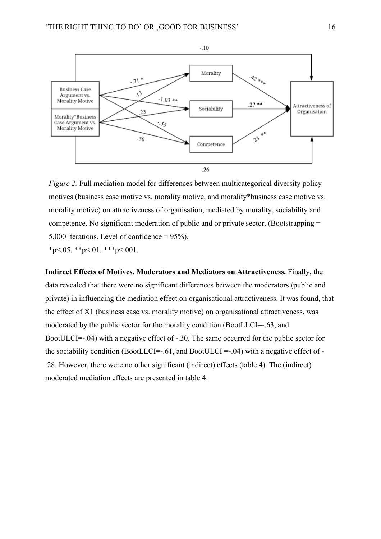

*Figure 2.* Full mediation model for differences between multicategorical diversity policy motives (business case motive vs. morality motive, and morality\*business case motive vs. morality motive) on attractiveness of organisation, mediated by morality, sociability and competence. No significant moderation of public and or private sector. (Bootstrapping = 5,000 iterations. Level of confidence = 95%).

 $*_{p \leq .05}$ .  $*_{p \leq .01}$ .  $*_{p \leq .001}$ .

**Indirect Effects of Motives, Moderators and Mediators on Attractiveness.** Finally, the data revealed that there were no significant differences between the moderators (public and private) in influencing the mediation effect on organisational attractiveness. It was found, that the effect of X1 (business case vs. morality motive) on organisational attractiveness, was moderated by the public sector for the morality condition (BootLLCI=-.63, and BootULCI=-.04) with a negative effect of -.30. The same occurred for the public sector for the sociability condition (BootLLCI=-.61, and BootULCI =-.04) with a negative effect of -.28. However, there were no other significant (indirect) effects (table 4). The (indirect) moderated mediation effects are presented in table 4: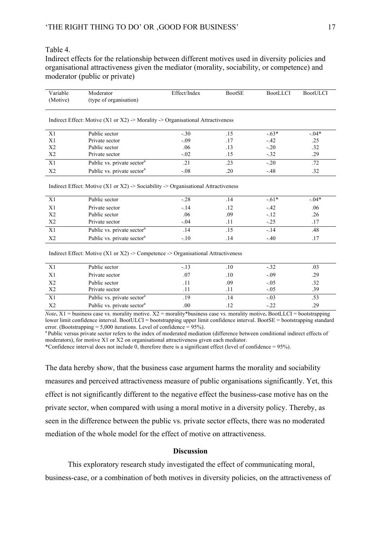## Table 4.

Indirect effects for the relationship between different motives used in diversity policies and organisational attractiveness given the mediator (morality, sociability, or competence) and moderator (public or private)

| Variable<br>(Motive) | Moderator<br>(type of organisation)                                                | Effect/Index   | <b>BootSE</b>  | <b>BootLLCI</b> | <b>BootULCI</b> |
|----------------------|------------------------------------------------------------------------------------|----------------|----------------|-----------------|-----------------|
|                      | Indirect Effect: Motive (X1 or X2) -> Morality -> Organisational Attractiveness    |                |                |                 |                 |
| X1                   | Public sector                                                                      | $-.30$         | .15            | $-.63*$         | $-0.04*$        |
| X1                   | Private sector                                                                     | $-.09$         | .17            | $-.42$          | .25             |
| X <sub>2</sub>       | Public sector                                                                      | .06            | .13            | $-.20$          | .32             |
| X <sub>2</sub>       | Private sector                                                                     | $-.02$         | .15            | $-.32$          | .29             |
| X1                   | Public vs. private sector <sup>a</sup>                                             | .21            | .23            | $-.20$          | .72             |
| X <sub>2</sub>       | Public vs. private sector <sup>a</sup>                                             | $-.08$         | .20            | $-.48$          | .32             |
|                      | Indirect Effect: Motive (X1 or X2) -> Sociability -> Organisational Attractiveness |                |                |                 |                 |
| X1                   | Public sector                                                                      | $-.28$         | .14            | $-.61*$         | $-.04*$         |
| X1                   | Private sector                                                                     | $-14$          | .12            | $-.42$          | .06             |
| X <sub>2</sub>       | Public sector                                                                      | .06            | .09            | $-.12$          | .26             |
| X <sub>2</sub>       | Private sector                                                                     | $-.04$         | .11            | $-.25$          | .17             |
| X1                   | Public vs. private sector <sup>a</sup>                                             | .14            | .15            | $-.14$          | .48             |
| X <sub>2</sub>       | Public vs. private sector <sup>a</sup>                                             | $-.10$         | .14            | $-.40$          | .17             |
|                      | Indirect Effect: Motive (X1 or X2) -> Competence -> Organisational Attractiveness  |                |                |                 |                 |
| T <sub>1</sub>       | $D$ , 1.11                                                                         | 1 <sub>2</sub> | 1 <sub>0</sub> | $\sim$          | $\Omega$        |

|                | Public sector                          | $-.13$ | .10  | $-.32$ | .03 |
|----------------|----------------------------------------|--------|------|--------|-----|
|                | Private sector                         | .07    | .10  | $-.09$ | .29 |
| X <sub>2</sub> | Public sector                          | .11    | .09  | $-.05$ | .32 |
| X <sub>2</sub> | Private sector                         |        |      | $-.05$ | .39 |
| X1             | Public vs. private sector <sup>a</sup> | .19    | . 14 | $-.03$ |     |
| X <sub>2</sub> | Public vs. private sector <sup>a</sup> | .00    |      | $-.22$ | .29 |

*Note***.** X1 = business case vs. morality motive. X2 = morality\*business case vs. morality motive**.** BootLLCI = bootstrapping lower limit confidence interval. BootULCI = bootstrapping upper limit confidence interval. BootSE = bootstrapping standard error. (Bootstrapping  $= 5,000$  iterations. Level of confidence  $= 95\%$ ).

<sup>a</sup> Public versus private sector refers to the index of moderated mediation (difference between conditional indirect effects of moderators), for motive X1 or X2 on organisational attractiveness given each mediator.

\*Confidence interval does not include 0, therefore there is a significant effect (level of confidence =  $95\%$ ).

The data hereby show, that the business case argument harms the morality and sociability measures and perceived attractiveness measure of public organisations significantly. Yet, this effect is not significantly different to the negative effect the business-case motive has on the private sector, when compared with using a moral motive in a diversity policy. Thereby, as seen in the difference between the public vs. private sector effects, there was no moderated mediation of the whole model for the effect of motive on attractiveness.

#### **Discussion**

This exploratory research study investigated the effect of communicating moral, business-case, or a combination of both motives in diversity policies, on the attractiveness of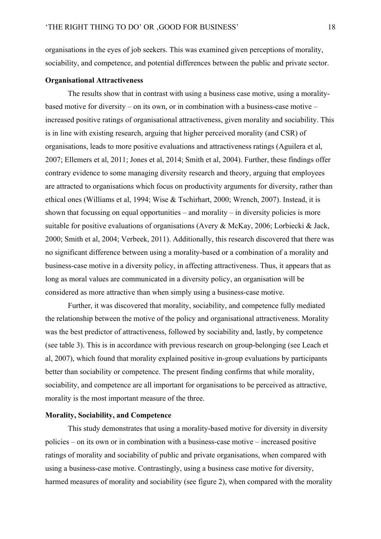organisations in the eyes of job seekers. This was examined given perceptions of morality, sociability, and competence, and potential differences between the public and private sector.

## **Organisational Attractiveness**

The results show that in contrast with using a business case motive, using a moralitybased motive for diversity – on its own, or in combination with a business-case motive – increased positive ratings of organisational attractiveness, given morality and sociability. This is in line with existing research, arguing that higher perceived morality (and CSR) of organisations, leads to more positive evaluations and attractiveness ratings (Aguilera et al, 2007; Ellemers et al, 2011; Jones et al, 2014; Smith et al, 2004). Further, these findings offer contrary evidence to some managing diversity research and theory, arguing that employees are attracted to organisations which focus on productivity arguments for diversity, rather than ethical ones (Williams et al, 1994; Wise & Tschirhart, 2000; Wrench, 2007). Instead, it is shown that focussing on equal opportunities – and morality – in diversity policies is more suitable for positive evaluations of organisations (Avery & McKay, 2006; Lorbiecki & Jack, 2000; Smith et al, 2004; Verbeek, 2011). Additionally, this research discovered that there was no significant difference between using a morality-based or a combination of a morality and business-case motive in a diversity policy, in affecting attractiveness. Thus, it appears that as long as moral values are communicated in a diversity policy, an organisation will be considered as more attractive than when simply using a business-case motive.

Further, it was discovered that morality, sociability, and competence fully mediated the relationship between the motive of the policy and organisational attractiveness. Morality was the best predictor of attractiveness, followed by sociability and, lastly, by competence (see table 3). This is in accordance with previous research on group-belonging (see Leach et al, 2007), which found that morality explained positive in-group evaluations by participants better than sociability or competence. The present finding confirms that while morality, sociability, and competence are all important for organisations to be perceived as attractive, morality is the most important measure of the three.

#### **Morality, Sociability, and Competence**

This study demonstrates that using a morality-based motive for diversity in diversity policies – on its own or in combination with a business-case motive – increased positive ratings of morality and sociability of public and private organisations, when compared with using a business-case motive. Contrastingly, using a business case motive for diversity, harmed measures of morality and sociability (see figure 2), when compared with the morality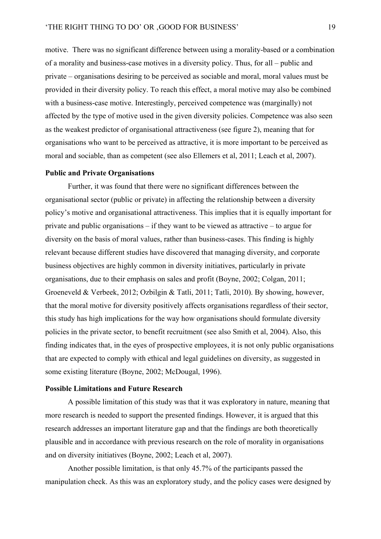motive. There was no significant difference between using a morality-based or a combination of a morality and business-case motives in a diversity policy. Thus, for all – public and private – organisations desiring to be perceived as sociable and moral, moral values must be provided in their diversity policy. To reach this effect, a moral motive may also be combined with a business-case motive. Interestingly, perceived competence was (marginally) not affected by the type of motive used in the given diversity policies. Competence was also seen as the weakest predictor of organisational attractiveness (see figure 2), meaning that for organisations who want to be perceived as attractive, it is more important to be perceived as moral and sociable, than as competent (see also Ellemers et al, 2011; Leach et al, 2007).

## **Public and Private Organisations**

Further, it was found that there were no significant differences between the organisational sector (public or private) in affecting the relationship between a diversity policy's motive and organisational attractiveness. This implies that it is equally important for private and public organisations – if they want to be viewed as attractive – to argue for diversity on the basis of moral values, rather than business-cases. This finding is highly relevant because different studies have discovered that managing diversity, and corporate business objectives are highly common in diversity initiatives, particularly in private organisations, due to their emphasis on sales and profit (Boyne, 2002; Colgan, 2011; Groeneveld & Verbeek, 2012; Ozbilgin & Tatli, 2011; Tatli, 2010). By showing, however, that the moral motive for diversity positively affects organisations regardless of their sector, this study has high implications for the way how organisations should formulate diversity policies in the private sector, to benefit recruitment (see also Smith et al, 2004). Also, this finding indicates that, in the eyes of prospective employees, it is not only public organisations that are expected to comply with ethical and legal guidelines on diversity, as suggested in some existing literature (Boyne, 2002; McDougal, 1996).

#### **Possible Limitations and Future Research**

A possible limitation of this study was that it was exploratory in nature, meaning that more research is needed to support the presented findings. However, it is argued that this research addresses an important literature gap and that the findings are both theoretically plausible and in accordance with previous research on the role of morality in organisations and on diversity initiatives (Boyne, 2002; Leach et al, 2007).

Another possible limitation, is that only 45.7% of the participants passed the manipulation check. As this was an exploratory study, and the policy cases were designed by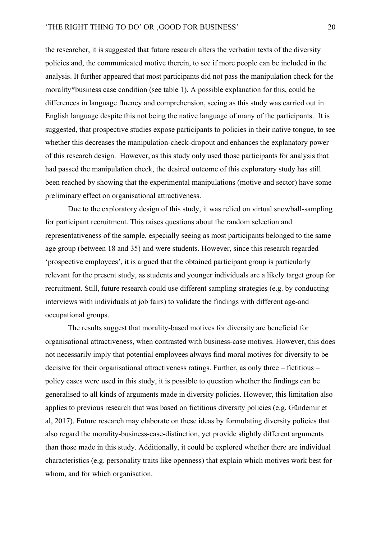the researcher, it is suggested that future research alters the verbatim texts of the diversity policies and, the communicated motive therein, to see if more people can be included in the analysis. It further appeared that most participants did not pass the manipulation check for the morality\*business case condition (see table 1). A possible explanation for this, could be differences in language fluency and comprehension, seeing as this study was carried out in English language despite this not being the native language of many of the participants. It is suggested, that prospective studies expose participants to policies in their native tongue, to see whether this decreases the manipulation-check-dropout and enhances the explanatory power of this research design. However, as this study only used those participants for analysis that had passed the manipulation check, the desired outcome of this exploratory study has still been reached by showing that the experimental manipulations (motive and sector) have some preliminary effect on organisational attractiveness.

Due to the exploratory design of this study, it was relied on virtual snowball-sampling for participant recruitment. This raises questions about the random selection and representativeness of the sample, especially seeing as most participants belonged to the same age group (between 18 and 35) and were students. However, since this research regarded 'prospective employees', it is argued that the obtained participant group is particularly relevant for the present study, as students and younger individuals are a likely target group for recruitment. Still, future research could use different sampling strategies (e.g. by conducting interviews with individuals at job fairs) to validate the findings with different age-and occupational groups.

The results suggest that morality-based motives for diversity are beneficial for organisational attractiveness, when contrasted with business-case motives. However, this does not necessarily imply that potential employees always find moral motives for diversity to be decisive for their organisational attractiveness ratings. Further, as only three – fictitious – policy cases were used in this study, it is possible to question whether the findings can be generalised to all kinds of arguments made in diversity policies. However, this limitation also applies to previous research that was based on fictitious diversity policies (e.g. Gündemir et al, 2017). Future research may elaborate on these ideas by formulating diversity policies that also regard the morality-business-case-distinction, yet provide slightly different arguments than those made in this study. Additionally, it could be explored whether there are individual characteristics (e.g. personality traits like openness) that explain which motives work best for whom, and for which organisation.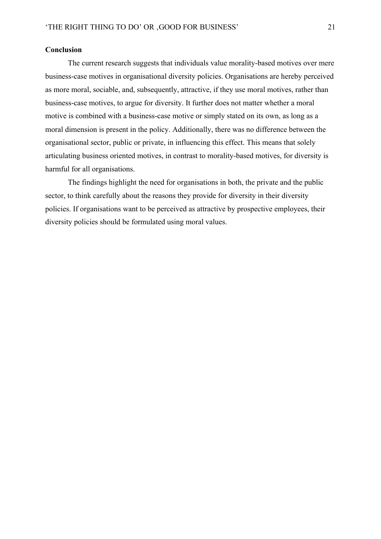## **Conclusion**

The current research suggests that individuals value morality-based motives over mere business-case motives in organisational diversity policies. Organisations are hereby perceived as more moral, sociable, and, subsequently, attractive, if they use moral motives, rather than business-case motives, to argue for diversity. It further does not matter whether a moral motive is combined with a business-case motive or simply stated on its own, as long as a moral dimension is present in the policy. Additionally, there was no difference between the organisational sector, public or private, in influencing this effect. This means that solely articulating business oriented motives, in contrast to morality-based motives, for diversity is harmful for all organisations.

The findings highlight the need for organisations in both, the private and the public sector, to think carefully about the reasons they provide for diversity in their diversity policies. If organisations want to be perceived as attractive by prospective employees, their diversity policies should be formulated using moral values.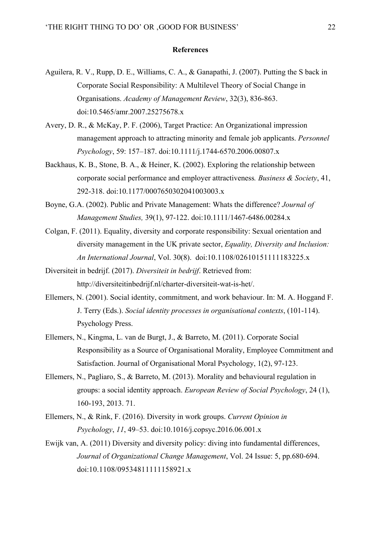#### **References**

- Aguilera, R. V., Rupp, D. E., Williams, C. A., & Ganapathi, J. (2007). Putting the S back in Corporate Social Responsibility: A Multilevel Theory of Social Change in Organisations. *Academy of Management Review*, 32(3), 836-863. doi:10.5465/amr.2007.25275678.x
- Avery, D. R., & McKay, P. F. (2006), Target Practice: An Organizational impression management approach to attracting minority and female job applicants. *Personnel Psychology*, 59: 157–187. doi:10.1111/j.1744-6570.2006.00807.x
- Backhaus, K. B., Stone, B. A., & Heiner, K. (2002). Exploring the relationship between corporate social performance and employer attractiveness*. Business & Society*, 41, 292-318. doi:10.1177/0007650302041003003.x
- Boyne, G.A. (2002). Public and Private Management: Whats the difference? *Journal of Management Studies,* 39(1), 97-122. doi:10.1111/1467-6486.00284.x
- Colgan, F. (2011). Equality, diversity and corporate responsibility: Sexual orientation and diversity management in the UK private sector, *Equality, Diversity and Inclusion: An International Journal*, Vol. 30(8). doi:10.1108/02610151111183225.x
- Diversiteit in bedrijf. (2017). *Diversiteit in bedrijf*. Retrieved from: http://diversiteitinbedrijf.nl/charter-diversiteit-wat-is-het/.
- Ellemers, N. (2001). Social identity, commitment, and work behaviour. In: M. A. Hoggand F. J. Terry (Eds.). *Social identity processes in organisational contexts*, (101-114). Psychology Press.
- Ellemers, N., Kingma, L. van de Burgt, J., & Barreto, M. (2011). Corporate Social Responsibility as a Source of Organisational Morality, Employee Commitment and Satisfaction. Journal of Organisational Moral Psychology, 1(2), 97-123.
- Ellemers, N., Pagliaro, S., & Barreto, M. (2013). Morality and behavioural regulation in groups: a social identity approach. *European Review of Social Psychology*, 24 (1), 160-193, 2013. 71.
- Ellemers, N., & Rink, F. (2016). Diversity in work groups. *Current Opinion in Psychology*, *11*, 49–53. doi:10.1016/j.copsyc.2016.06.001.x
- Ewijk van, A. (2011) Diversity and diversity policy: diving into fundamental differences, *Journal o*f *Organizational Change Management*, Vol. 24 Issue: 5, pp.680-694. doi:10.1108/09534811111158921.x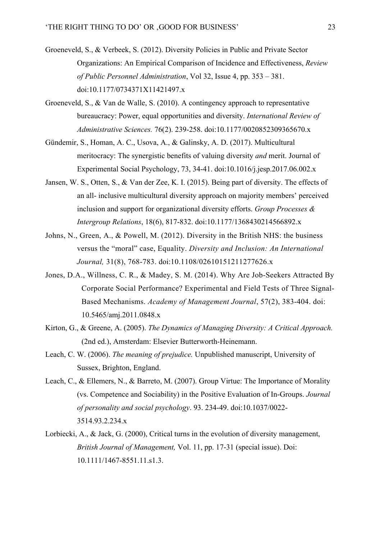- Groeneveld, S., & Verbeek, S. (2012). Diversity Policies in Public and Private Sector Organizations: An Empirical Comparison of Incidence and Effectiveness, *Review of Public Personnel Administration*, Vol 32, Issue 4, pp. 353 – 381. doi:10.1177/0734371X11421497.x
- Groeneveld, S., & Van de Walle, S. (2010). A contingency approach to representative bureaucracy: Power, equal opportunities and diversity. *International Review of Administrative Sciences.* 76(2). 239-258. doi:10.1177/0020852309365670.x
- Gündemir, S., Homan, A. C., Usova, A., & Galinsky, A. D. (2017). Multicultural meritocracy: The synergistic benefits of valuing diversity *and* merit. Journal of Experimental Social Psychology, 73, 34-41. doi:10.1016/j.jesp.2017.06.002.x
- Jansen, W. S., Otten, S., & Van der Zee, K. I. (2015). Being part of diversity. The effects of an all- inclusive multicultural diversity approach on majority members' perceived inclusion and support for organizational diversity efforts. *Group Processes & Intergroup Relations*, 18(6), 817-832. doi:10.1177/1368430214566892.x
- Johns, N., Green, A., & Powell, M. (2012). Diversity in the British NHS: the business versus the "moral" case, Equality. *Diversity and Inclusion: An International Journal,* 31(8), 768-783. doi:10.1108/02610151211277626.x
- Jones, D.A., Willness, C. R., & Madey, S. M. (2014). Why Are Job-Seekers Attracted By Corporate Social Performance? Experimental and Field Tests of Three Signal-Based Mechanisms. *Academy of Management Journal*, 57(2), 383-404. doi: 10.5465/amj.2011.0848.x
- Kirton, G., & Greene, A. (2005). *The Dynamics of Managing Diversity: A Critical Approach.*  (2nd ed.), Amsterdam: Elsevier Butterworth-Heinemann.
- Leach, C. W. (2006). *The meaning of prejudice.* Unpublished manuscript, University of Sussex, Brighton, England.
- Leach, C., & Ellemers, N., & Barreto, M. (2007). Group Virtue: The Importance of Morality (vs. Competence and Sociability) in the Positive Evaluation of In-Groups. *Journal of personality and social psychology*. 93. 234-49. doi:10.1037/0022- 3514.93.2.234.x
- Lorbiecki, A., & Jack, G. (2000), Critical turns in the evolution of diversity management, *British Journal of Management,* Vol. 11, pp. 17-31 (special issue). Doi: 10.1111/1467-8551.11.s1.3.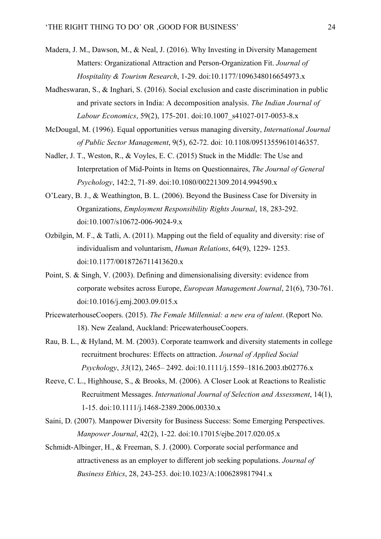- Madera, J. M., Dawson, M., & Neal, J. (2016). Why Investing in Diversity Management Matters: Organizational Attraction and Person-Organization Fit. *Journal of Hospitality & Tourism Research*, 1-29. doi:10.1177/1096348016654973.x
- Madheswaran, S., & Inghari, S. (2016). Social exclusion and caste discrimination in public and private sectors in India: A decomposition analysis. *The Indian Journal of Labour Economics*, 59(2), 175-201. doi:10.1007\_s41027-017-0053-8.x
- McDougal, M. (1996). Equal opportunities versus managing diversity, *International Journal of Public Sector Management*, 9(5), 62-72. doi: 10.1108/09513559610146357.
- Nadler, J. T., Weston, R., & Voyles, E. C. (2015) Stuck in the Middle: The Use and Interpretation of Mid-Points in Items on Questionnaires, *The Journal of General Psychology*, 142:2, 71-89. doi:10.1080/00221309.2014.994590.x
- O'Leary, B. J., & Weathington, B. L. (2006). Beyond the Business Case for Diversity in Organizations, *Employment Responsibility Rights Journal*, 18, 283-292. doi:10.1007/s10672-006-9024-9.x
- Ozbilgin, M. F., & Tatli, A. (2011). Mapping out the field of equality and diversity: rise of individualism and voluntarism, *Human Relations*, 64(9), 1229- 1253. doi:10.1177/0018726711413620.x
- Point, S. & Singh, V. (2003). Defining and dimensionalising diversity: evidence from corporate websites across Europe, *European Management Journal*, 21(6), 730-761. doi:10.1016/j.emj.2003.09.015.x
- PricewaterhouseCoopers. (2015). *The Female Millennial: a new era of talent*. (Report No. 18). New Zealand, Auckland: PricewaterhouseCoopers.
- Rau, B. L., & Hyland, M. M. (2003). Corporate teamwork and diversity statements in college recruitment brochures: Effects on attraction. *Journal of Applied Social Psychology*, *33*(12), 2465– 2492. doi:10.1111/j.1559–1816.2003.tb02776.x
- Reeve, C. L., Highhouse, S., & Brooks, M. (2006). A Closer Look at Reactions to Realistic Recruitment Messages. *International Journal of Selection and Assessment*, 14(1), 1-15. doi:10.1111/j.1468-2389.2006.00330.x
- Saini, D. (2007). Manpower Diversity for Business Success: Some Emerging Perspectives. *Manpower Journal*, 42(2), 1-22. doi:10.17015/ejbe.2017.020.05.x
- Schmidt-Albinger, H., & Freeman, S. J. (2000). Corporate social performance and attractiveness as an employer to different job seeking populations. *Journal of Business Ethics*, 28, 243-253. doi:10.1023/A:1006289817941.x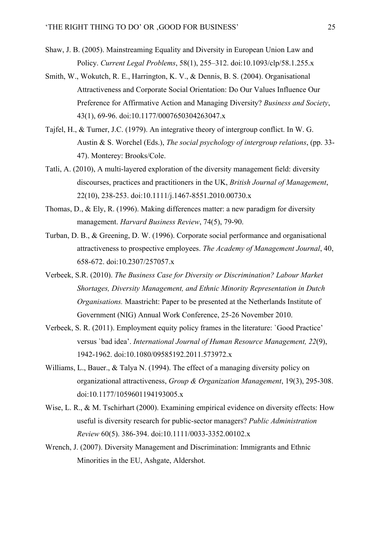- Shaw, J. B. (2005). Mainstreaming Equality and Diversity in European Union Law and Policy. *Current Legal Problems*, 58(1), 255–312. doi:10.1093/clp/58.1.255.x
- Smith, W., Wokutch, R. E., Harrington, K. V., & Dennis, B. S. (2004). Organisational Attractiveness and Corporate Social Orientation: Do Our Values Influence Our Preference for Affirmative Action and Managing Diversity? *Business and Society*, 43(1), 69-96. doi:10.1177/0007650304263047.x
- Tajfel, H., & Turner, J.C. (1979). An integrative theory of intergroup conflict. In W. G. Austin & S. Worchel (Eds.), *The social psychology of intergroup relations*, (pp. 33- 47). Monterey: Brooks/Cole.
- Tatli, A. (2010), A multi-layered exploration of the diversity management field: diversity discourses, practices and practitioners in the UK, *British Journal of Management*, 22(10), 238-253. doi:10.1111/j.1467-8551.2010.00730.x
- Thomas, D., & Ely, R. (1996). Making differences matter: a new paradigm for diversity management. *Harvard Business Review*, 74(5), 79-90.
- Turban, D. B., & Greening, D. W. (1996). Corporate social performance and organisational attractiveness to prospective employees. *The Academy of Management Journal*, 40, 658-672. doi:10.2307/257057.x
- Verbeek, S.R. (2010). *The Business Case for Diversity or Discrimination? Labour Market Shortages, Diversity Management, and Ethnic Minority Representation in Dutch Organisations.* Maastricht: Paper to be presented at the Netherlands Institute of Government (NIG) Annual Work Conference, 25-26 November 2010.
- Verbeek, S. R. (2011). Employment equity policy frames in the literature: `Good Practice' versus `bad idea'. *International Journal of Human Resource Management, 22*(9), 1942-1962. doi:10.1080/09585192.2011.573972.x
- Williams, L., Bauer., & Talya N. (1994). The effect of a managing diversity policy on organizational attractiveness, *Group & Organization Management*, 19(3), 295-308. doi:10.1177/1059601194193005.x
- Wise, L. R., & M. Tschirhart (2000). Examining empirical evidence on diversity effects: How useful is diversity research for public-sector managers? *Public Administration Review* 60(5). 386-394. doi:10.1111/0033-3352.00102.x
- Wrench, J. (2007). Diversity Management and Discrimination: Immigrants and Ethnic Minorities in the EU, Ashgate, Aldershot.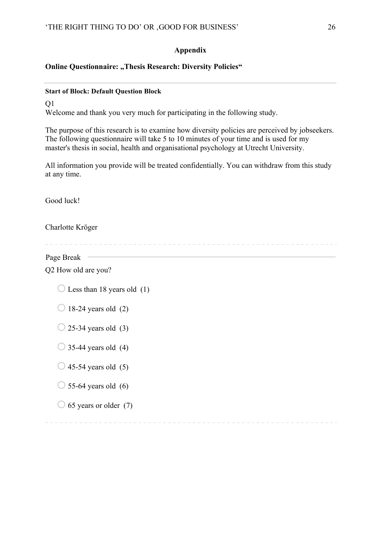## **Appendix**

## **Online Questionnaire: "Thesis Research: Diversity Policies"**

## **Start of Block: Default Question Block**

 $O<sub>1</sub>$ Welcome and thank you very much for participating in the following study.

The purpose of this research is to examine how diversity policies are perceived by jobseekers. The following questionnaire will take 5 to 10 minutes of your time and is used for my master's thesis in social, health and organisational psychology at Utrecht University.

All information you provide will be treated confidentially. You can withdraw from this study at any time.

Good luck!

Charlotte Kröger

Page Break — Q2 How old are you?  $\bigcirc$  Less than 18 years old (1)  $\bigcirc$  18-24 years old (2)  $\bigcirc$  25-34 years old (3)  $\bigcirc$  35-44 years old (4)  $\bigcirc$  45-54 years old (5)  $\bigcirc$  55-64 years old (6)

 $\bigcirc$  65 years or older (7)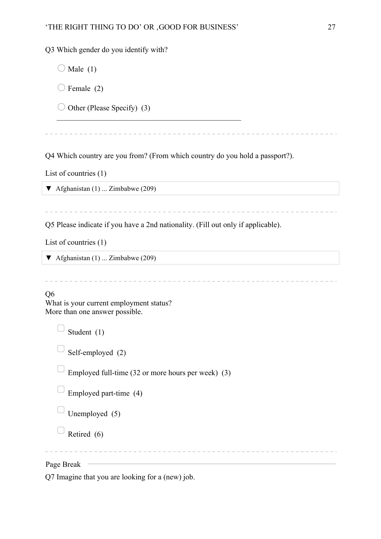$\mathcal{L}_\text{max}$  , and the set of the set of the set of the set of the set of the set of the set of the set of the set of

Q3 Which gender do you identify with?

 $\bigcirc$  Male (1)

 $\bigcirc$  Female (2)

 $\bigcirc$  Other (Please Specify) (3)

Q4 Which country are you from? (From which country do you hold a passport?).

List of countries (1)

 $\blacktriangledown$  Afghanistan (1) ... Zimbabwe (209)

Q5 Please indicate if you have a 2nd nationality. (Fill out only if applicable).

\_\_\_\_\_\_\_\_\_\_\_\_\_\_\_\_\_\_\_\_

List of countries (1)

 $\blacktriangledown$  Afghanistan (1) ... Zimbabwe (209)

## Q6

What is your current employment status? More than one answer possible.

Student (1)

Self-employed (2)

Employed full-time (32 or more hours per week) (3)

Employed part-time (4)

Unemployed (5)

 $\Box$  Retired (6)

Page Break

Q7 Imagine that you are looking for a (new) job.

. . . . . . . . . . . .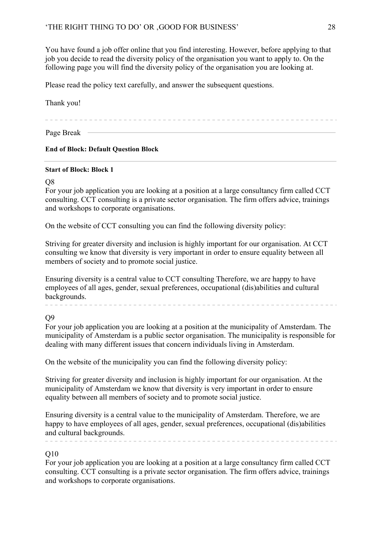You have found a job offer online that you find interesting. However, before applying to that job you decide to read the diversity policy of the organisation you want to apply to. On the following page you will find the diversity policy of the organisation you are looking at.

Please read the policy text carefully, and answer the subsequent questions.

## Thank you!

Page Break —

## **End of Block: Default Question Block**

## **Start of Block: Block 1**

## $\Omega$

For your job application you are looking at a position at a large consultancy firm called CCT consulting. CCT consulting is a private sector organisation. The firm offers advice, trainings and workshops to corporate organisations.

On the website of CCT consulting you can find the following diversity policy:

Striving for greater diversity and inclusion is highly important for our organisation. At CCT consulting we know that diversity is very important in order to ensure equality between all members of society and to promote social justice.

Ensuring diversity is a central value to CCT consulting Therefore, we are happy to have employees of all ages, gender, sexual preferences, occupational (dis)abilities and cultural backgrounds.

 $\mathcal{L}^{\mathcal{A}}\left( \mathcal{L}^{\mathcal{A}}\right) =\mathcal{L}^{\mathcal{A}}\left( \mathcal{L}^{\mathcal{A}}\right) =\mathcal{L}^{\mathcal{A}}\left( \mathcal{L}^{\mathcal{A}}\right)$ 

Q9

For your job application you are looking at a position at the municipality of Amsterdam. The municipality of Amsterdam is a public sector organisation. The municipality is responsible for dealing with many different issues that concern individuals living in Amsterdam.

On the website of the municipality you can find the following diversity policy:

Striving for greater diversity and inclusion is highly important for our organisation. At the municipality of Amsterdam we know that diversity is very important in order to ensure equality between all members of society and to promote social justice.

Ensuring diversity is a central value to the municipality of Amsterdam. Therefore, we are happy to have employees of all ages, gender, sexual preferences, occupational (dis)abilities and cultural backgrounds.

Q10

For your job application you are looking at a position at a large consultancy firm called CCT consulting. CCT consulting is a private sector organisation. The firm offers advice, trainings and workshops to corporate organisations.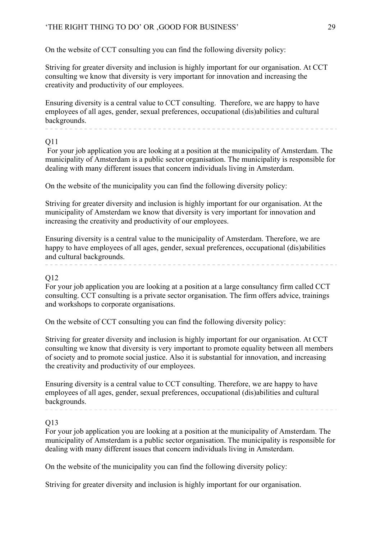On the website of CCT consulting you can find the following diversity policy:

Striving for greater diversity and inclusion is highly important for our organisation. At CCT consulting we know that diversity is very important for innovation and increasing the creativity and productivity of our employees.

Ensuring diversity is a central value to CCT consulting. Therefore, we are happy to have employees of all ages, gender, sexual preferences, occupational (dis)abilities and cultural backgrounds.

## $O<sub>11</sub>$

For your job application you are looking at a position at the municipality of Amsterdam. The municipality of Amsterdam is a public sector organisation. The municipality is responsible for dealing with many different issues that concern individuals living in Amsterdam.

On the website of the municipality you can find the following diversity policy:

Striving for greater diversity and inclusion is highly important for our organisation. At the municipality of Amsterdam we know that diversity is very important for innovation and increasing the creativity and productivity of our employees.

Ensuring diversity is a central value to the municipality of Amsterdam. Therefore, we are happy to have employees of all ages, gender, sexual preferences, occupational (dis)abilities and cultural backgrounds. 

## $O<sub>12</sub>$

For your job application you are looking at a position at a large consultancy firm called CCT consulting. CCT consulting is a private sector organisation. The firm offers advice, trainings and workshops to corporate organisations.

On the website of CCT consulting you can find the following diversity policy:

Striving for greater diversity and inclusion is highly important for our organisation. At CCT consulting we know that diversity is very important to promote equality between all members of society and to promote social justice. Also it is substantial for innovation, and increasing the creativity and productivity of our employees.

Ensuring diversity is a central value to CCT consulting. Therefore, we are happy to have employees of all ages, gender, sexual preferences, occupational (dis)abilities and cultural backgrounds.

## Q13

For your job application you are looking at a position at the municipality of Amsterdam. The municipality of Amsterdam is a public sector organisation. The municipality is responsible for dealing with many different issues that concern individuals living in Amsterdam.

On the website of the municipality you can find the following diversity policy:

Striving for greater diversity and inclusion is highly important for our organisation.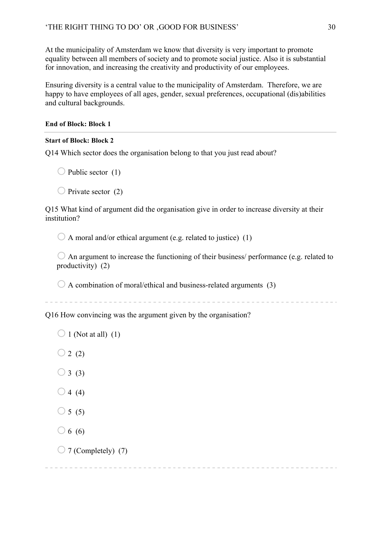At the municipality of Amsterdam we know that diversity is very important to promote equality between all members of society and to promote social justice. Also it is substantial for innovation, and increasing the creativity and productivity of our employees.

Ensuring diversity is a central value to the municipality of Amsterdam. Therefore, we are happy to have employees of all ages, gender, sexual preferences, occupational (dis)abilities and cultural backgrounds.

## **End of Block: Block 1**

## **Start of Block: Block 2**

Q14 Which sector does the organisation belong to that you just read about?

 $\bigcirc$  Public sector (1)

 $\bigcirc$  Private sector (2)

Q15 What kind of argument did the organisation give in order to increase diversity at their institution?

 $\bigcirc$  A moral and/or ethical argument (e.g. related to justice) (1)

 $\bigcirc$  An argument to increase the functioning of their business/ performance (e.g. related to productivity) (2)

 $\bigcirc$  A combination of moral/ethical and business-related arguments (3)

Q16 How convincing was the argument given by the organisation?

```
\bigcirc 1 (Not at all) (1)
\bigcirc 2 (2)
```
 $\bigcirc$  3 (3)

- $\bigcirc$  4 (4)
- $\bigcirc$  5 (5)
- $\bigcirc$  6 (6)
- $\bigcirc$  7 (Completely) (7)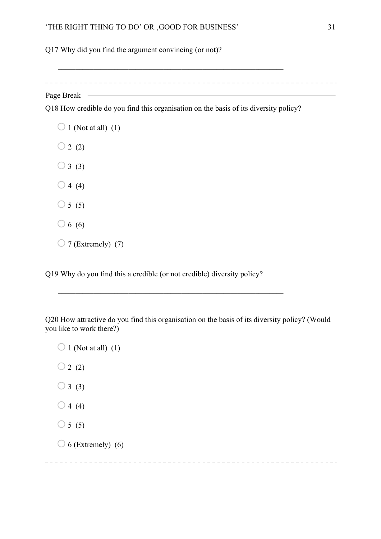Q17 Why did you find the argument convincing (or not)?

Page Break –

Q18 How credible do you find this organisation on the basis of its diversity policy?

 $\mathcal{L}_\text{max} = \mathcal{L}_\text{max} = \mathcal{L}_\text{max} = \mathcal{L}_\text{max} = \mathcal{L}_\text{max} = \mathcal{L}_\text{max} = \mathcal{L}_\text{max} = \mathcal{L}_\text{max} = \mathcal{L}_\text{max} = \mathcal{L}_\text{max} = \mathcal{L}_\text{max} = \mathcal{L}_\text{max} = \mathcal{L}_\text{max} = \mathcal{L}_\text{max} = \mathcal{L}_\text{max} = \mathcal{L}_\text{max} = \mathcal{L}_\text{max} = \mathcal{L}_\text{max} = \mathcal{$ 

 $\bigcirc$  1 (Not at all) (1)  $\bigcirc$  2 (2)  $\bigcirc$  3 (3)  $\bigcirc$  4 (4)  $\bigcirc$  5 (5)  $\bigcirc$  6 (6)  $\bigcirc$  7 (Extremely) (7) Q19 Why do you find this a credible (or not credible) diversity policy?

Q20 How attractive do you find this organisation on the basis of its diversity policy? (Would you like to work there?)

 $\mathcal{L}_\text{max} = \mathcal{L}_\text{max} = \mathcal{L}_\text{max} = \mathcal{L}_\text{max} = \mathcal{L}_\text{max} = \mathcal{L}_\text{max} = \mathcal{L}_\text{max} = \mathcal{L}_\text{max} = \mathcal{L}_\text{max} = \mathcal{L}_\text{max} = \mathcal{L}_\text{max} = \mathcal{L}_\text{max} = \mathcal{L}_\text{max} = \mathcal{L}_\text{max} = \mathcal{L}_\text{max} = \mathcal{L}_\text{max} = \mathcal{L}_\text{max} = \mathcal{L}_\text{max} = \mathcal{$ 

 $\bigcirc$  1 (Not at all) (1)  $\bigcirc$  2 (2)  $\bigcirc$  3 (3)  $\bigcirc$  4 (4)  $\bigcirc$  5 (5)  $\bigcirc$  6 (Extremely) (6)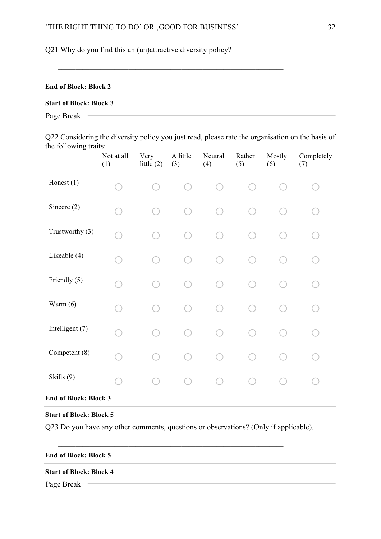Q21 Why do you find this an (un)attractive diversity policy?

## **End of Block: Block 2**

## **Start of Block: Block 3**

Page Break

Q22 Considering the diversity policy you just read, please rate the organisation on the basis of the following traits:

 $\mathcal{L}_\text{max} = \mathcal{L}_\text{max} = \mathcal{L}_\text{max} = \mathcal{L}_\text{max} = \mathcal{L}_\text{max} = \mathcal{L}_\text{max} = \mathcal{L}_\text{max} = \mathcal{L}_\text{max} = \mathcal{L}_\text{max} = \mathcal{L}_\text{max} = \mathcal{L}_\text{max} = \mathcal{L}_\text{max} = \mathcal{L}_\text{max} = \mathcal{L}_\text{max} = \mathcal{L}_\text{max} = \mathcal{L}_\text{max} = \mathcal{L}_\text{max} = \mathcal{L}_\text{max} = \mathcal{$ 

|                 | Not at all<br>(1)            | Very<br>little $(2)$ | A little<br>(3) | Neutral<br>(4) | Rather<br>(5) | Mostly<br>(6) | Completely<br>(7) |
|-----------------|------------------------------|----------------------|-----------------|----------------|---------------|---------------|-------------------|
| Honest (1)      |                              |                      |                 |                |               |               |                   |
| Sincere $(2)$   |                              |                      |                 |                |               |               |                   |
| Trustworthy (3) |                              |                      |                 |                |               |               |                   |
| Likeable (4)    |                              |                      |                 |                |               |               |                   |
| Friendly (5)    |                              |                      |                 |                |               |               |                   |
| Warm $(6)$      |                              |                      |                 |                |               |               |                   |
| Intelligent (7) |                              |                      |                 |                |               |               |                   |
| Competent (8)   |                              |                      |                 |                |               |               |                   |
| Skills (9)      |                              |                      |                 |                |               |               |                   |
|                 | <b>End of Block: Block 3</b> |                      |                 |                |               |               |                   |

# **Start of Block: Block 5**

Q23 Do you have any other comments, questions or observations? (Only if applicable).

 $\mathcal{L}_\text{max} = \mathcal{L}_\text{max} = \mathcal{L}_\text{max} = \mathcal{L}_\text{max} = \mathcal{L}_\text{max} = \mathcal{L}_\text{max} = \mathcal{L}_\text{max} = \mathcal{L}_\text{max} = \mathcal{L}_\text{max} = \mathcal{L}_\text{max} = \mathcal{L}_\text{max} = \mathcal{L}_\text{max} = \mathcal{L}_\text{max} = \mathcal{L}_\text{max} = \mathcal{L}_\text{max} = \mathcal{L}_\text{max} = \mathcal{L}_\text{max} = \mathcal{L}_\text{max} = \mathcal{$ 

## **End of Block: Block 5**

#### **Start of Block: Block 4**

Page Break